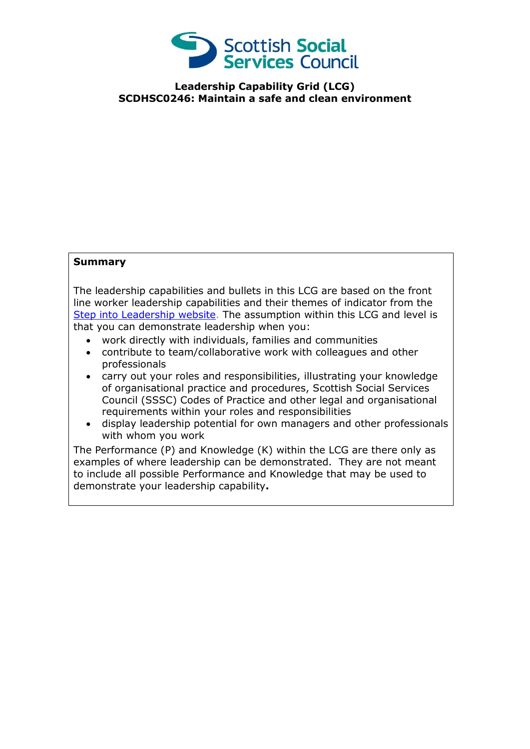

**Leadership Capability Grid (LCG) SCDHSC0246: Maintain a safe and clean environment**

## **Summary**

The leadership capabilities and bullets in this LCG are based on the front line worker leadership capabilities and their themes of indicator from the [Step into Leadership website.](http://www.stepintoleadership.info/) The assumption within this LCG and level is that you can demonstrate leadership when you:

- work directly with individuals, families and communities
- contribute to team/collaborative work with colleagues and other professionals
- carry out your roles and responsibilities, illustrating your knowledge of organisational practice and procedures, Scottish Social Services Council (SSSC) Codes of Practice and other legal and organisational requirements within your roles and responsibilities
- display leadership potential for own managers and other professionals with whom you work

The Performance (P) and Knowledge (K) within the LCG are there only as examples of where leadership can be demonstrated. They are not meant to include all possible Performance and Knowledge that may be used to demonstrate your leadership capability**.**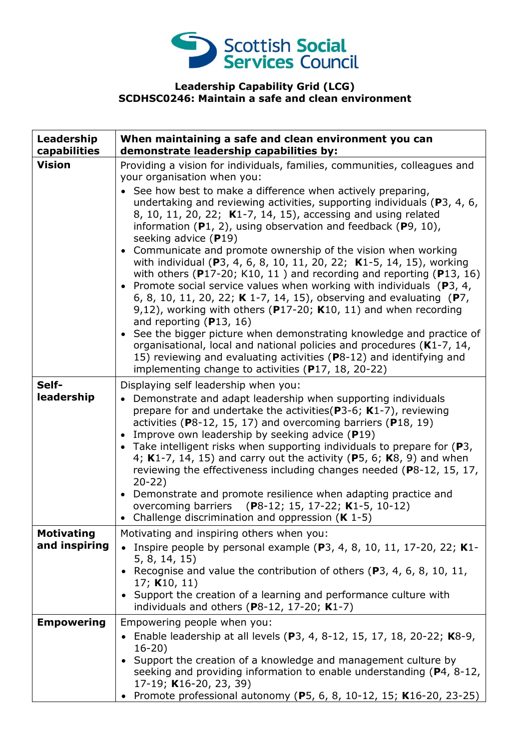

## **Leadership Capability Grid (LCG) SCDHSC0246: Maintain a safe and clean environment**

| Leadership<br>capabilities         | When maintaining a safe and clean environment you can<br>demonstrate leadership capabilities by:                                                                                                                                                                                                                                                                                                                                                                                                                                                                                                                                                                                                                                                                                                                                                                                                                                                                                                                                                                                                                                                                                    |
|------------------------------------|-------------------------------------------------------------------------------------------------------------------------------------------------------------------------------------------------------------------------------------------------------------------------------------------------------------------------------------------------------------------------------------------------------------------------------------------------------------------------------------------------------------------------------------------------------------------------------------------------------------------------------------------------------------------------------------------------------------------------------------------------------------------------------------------------------------------------------------------------------------------------------------------------------------------------------------------------------------------------------------------------------------------------------------------------------------------------------------------------------------------------------------------------------------------------------------|
| <b>Vision</b>                      | Providing a vision for individuals, families, communities, colleagues and<br>your organisation when you:<br>• See how best to make a difference when actively preparing,<br>undertaking and reviewing activities, supporting individuals (P3, 4, 6,<br>8, 10, 11, 20, 22; K1-7, 14, 15), accessing and using related<br>information $(P1, 2)$ , using observation and feedback $(P9, 10)$ ,<br>seeking advice (P19)<br>• Communicate and promote ownership of the vision when working<br>with individual (P3, 4, 6, 8, 10, 11, 20, 22; K1-5, 14, 15), working<br>with others ( $P17-20$ ; K10, 11) and recording and reporting ( $P13$ , 16)<br>• Promote social service values when working with individuals ( $P3$ , 4,<br>6, 8, 10, 11, 20, 22; K 1-7, 14, 15), observing and evaluating (P7,<br>9,12), working with others ( $P17-20$ ; K10, 11) and when recording<br>and reporting $(P13, 16)$<br>• See the bigger picture when demonstrating knowledge and practice of<br>organisational, local and national policies and procedures (K1-7, 14,<br>15) reviewing and evaluating activities (P8-12) and identifying and<br>implementing change to activities (P17, 18, 20-22) |
| Self-<br>leadership                | Displaying self leadership when you:<br>Demonstrate and adapt leadership when supporting individuals<br>prepare for and undertake the activities ( $P3-6$ ; K1-7), reviewing<br>activities ( $P8-12$ , 15, 17) and overcoming barriers ( $P18$ , 19)<br>• Improve own leadership by seeking advice $(P19)$<br>• Take intelligent risks when supporting individuals to prepare for $(P3,$<br>4; K1-7, 14, 15) and carry out the activity (P5, 6; K8, 9) and when<br>reviewing the effectiveness including changes needed (P8-12, 15, 17,<br>$20-22)$<br>• Demonstrate and promote resilience when adapting practice and<br>overcoming barriers (P8-12; 15, 17-22; K1-5, 10-12)<br>• Challenge discrimination and oppression $(K 1-5)$                                                                                                                                                                                                                                                                                                                                                                                                                                                |
| <b>Motivating</b><br>and inspiring | Motivating and inspiring others when you:<br>Inspire people by personal example ( $P$ 3, 4, 8, 10, 11, 17-20, 22; K1-<br>5, 8, 14, 15)<br>• Recognise and value the contribution of others (P3, 4, 6, 8, 10, 11,<br>17; $K10, 11$<br>• Support the creation of a learning and performance culture with<br>individuals and others ( $P8-12$ , 17-20; $K1-7$ )                                                                                                                                                                                                                                                                                                                                                                                                                                                                                                                                                                                                                                                                                                                                                                                                                        |
| <b>Empowering</b>                  | Empowering people when you:<br>• Enable leadership at all levels (P3, 4, 8-12, 15, 17, 18, 20-22; K8-9,<br>$16 - 20$<br>• Support the creation of a knowledge and management culture by<br>seeking and providing information to enable understanding (P4, 8-12,<br>17-19; K16-20, 23, 39)<br>• Promote professional autonomy (P5, 6, 8, 10-12, 15; K16-20, 23-25)                                                                                                                                                                                                                                                                                                                                                                                                                                                                                                                                                                                                                                                                                                                                                                                                                   |